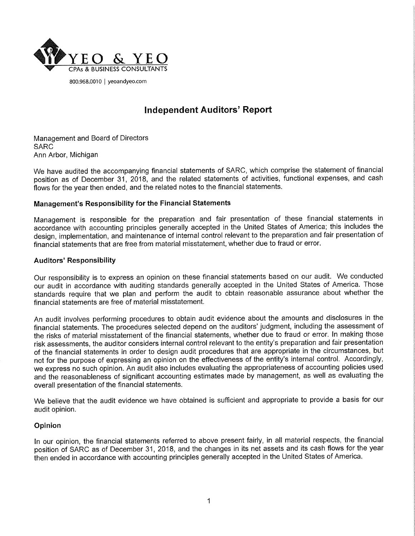

**Independent Auditors' Report** 

Management and Board of Directors **SARC** Ann Arbor, Michigan

We have audited the accompanying financial statements of SARC, which comprise the statement of financial position as of December 31, 2018, and the related statements of activities, functional expenses, and cash flows for the year then ended, and the related notes to the financial statements.

#### Management's Responsibility for the Financial Statements

Management is responsible for the preparation and fair presentation of these financial statements in accordance with accounting principles generally accepted in the United States of America; this includes the design, implementation, and maintenance of internal control relevant to the preparation and fair presentation of financial statements that are free from material misstatement, whether due to fraud or error.

#### **Auditors' Responsibility**

Our responsibility is to express an opinion on these financial statements based on our audit. We conducted our audit in accordance with auditing standards generally accepted in the United States of America. Those standards require that we plan and perform the audit to obtain reasonable assurance about whether the financial statements are free of material misstatement.

An audit involves performing procedures to obtain audit evidence about the amounts and disclosures in the financial statements. The procedures selected depend on the auditors' judgment, including the assessment of the risks of material misstatement of the financial statements, whether due to fraud or error. In making those risk assessments, the auditor considers internal control relevant to the entity's preparation and fair presentation of the financial statements in order to design audit procedures that are appropriate in the circumstances, but not for the purpose of expressing an opinion on the effectiveness of the entity's internal control. Accordingly, we express no such opinion. An audit also includes evaluating the appropriateness of accounting policies used and the reasonableness of significant accounting estimates made by management, as well as evaluating the overall presentation of the financial statements.

We believe that the audit evidence we have obtained is sufficient and appropriate to provide a basis for our audit opinion.

#### Opinion

In our opinion, the financial statements referred to above present fairly, in all material respects, the financial position of SARC as of December 31, 2018, and the changes in its net assets and its cash flows for the year then ended in accordance with accounting principles generally accepted in the United States of America.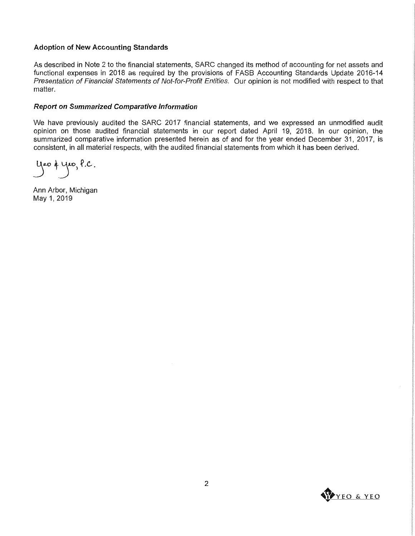#### **Adoption of New Accounting Standards**

As described in Note 2 to the financial statements, SARC changed its method of accounting for net assets and functional expenses in 2018 as required by the provisions of FASB Accounting Standards Update 2016-14 Presentation of Financial Statements of Not-for-Profit Entities. Our opinion is not modified with respect to that matter.

#### **Report on Summarized Comparative Information**

We have previously audited the SARC 2017 financial statements, and we expressed an unmodified audit opinion on those audited financial statements in our report dated April 19, 2018. In our opinion, the summarized comparative information presented herein as of and for the year ended December 31, 2017, is consistent, in all material respects, with the audited financial statements from which it has been derived.

Yeo & yeo, P.C.

Ann Arbor, Michigan May 1, 2019

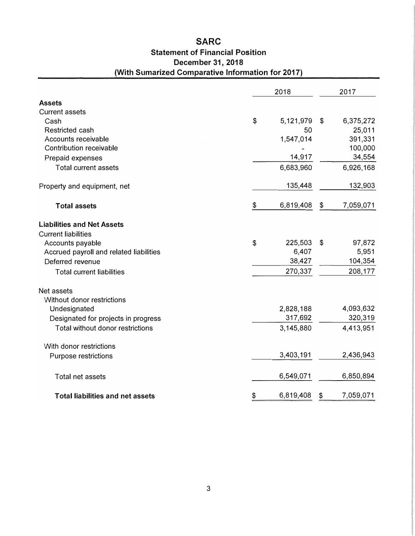# **SARC Statement of Financial Position December 31, 2018 (With Sumarized Comparative Information for 2017)**

|                                         | 2018            | 2017 |           |  |
|-----------------------------------------|-----------------|------|-----------|--|
| <b>Assets</b>                           |                 |      |           |  |
| <b>Current assets</b>                   |                 |      |           |  |
| Cash                                    | \$<br>5,121,979 | \$   | 6,375,272 |  |
| Restricted cash                         | 50              |      | 25,011    |  |
| Accounts receivable                     | 1,547,014       |      | 391,331   |  |
| Contribution receivable                 |                 |      | 100,000   |  |
| Prepaid expenses                        | 14,917          |      | 34,554    |  |
| <b>Total current assets</b>             | 6,683,960       |      | 6,926,168 |  |
| Property and equipment, net             | 135,448         |      | 132,903   |  |
| <b>Total assets</b>                     | \$<br>6,819,408 | \$   | 7,059,071 |  |
| <b>Liabilities and Net Assets</b>       |                 |      |           |  |
| <b>Current liabilities</b>              |                 |      |           |  |
| Accounts payable                        | \$<br>225,503   | \$   | 97,872    |  |
| Accrued payroll and related liabilities | 6,407           |      | 5,951     |  |
| Deferred revenue                        | 38,427          |      | 104,354   |  |
| <b>Total current liabilities</b>        | 270,337         |      | 208,177   |  |
| Net assets                              |                 |      |           |  |
| Without donor restrictions              |                 |      |           |  |
| Undesignated                            | 2,828,188       |      | 4,093,632 |  |
| Designated for projects in progress     | 317,692         |      | 320,319   |  |
| Total without donor restrictions        | 3,145,880       |      | 4,413,951 |  |
| With donor restrictions                 |                 |      |           |  |
| Purpose restrictions                    | 3,403,191       |      | 2,436,943 |  |
| Total net assets                        | 6,549,071       |      | 6,850,894 |  |
| <b>Total liabilities and net assets</b> | \$<br>6,819,408 | \$   | 7,059,071 |  |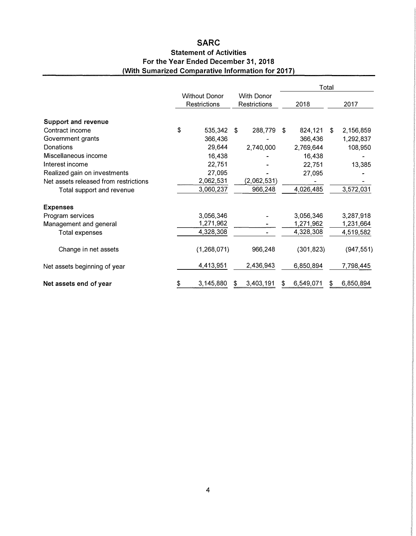### **SARC**

### **Statement of Activities For the Year Ended December 31, 2018 (With Sumarized Comparative Information for 2017)**

|                                       |    | <b>Without Donor</b><br>Restrictions |    |                                   |    | Total      |    |            |
|---------------------------------------|----|--------------------------------------|----|-----------------------------------|----|------------|----|------------|
|                                       |    |                                      |    | <b>With Donor</b><br>Restrictions |    | 2018       |    | 2017       |
| Support and revenue                   |    |                                      |    |                                   |    |            |    |            |
| Contract income                       | \$ | 535,342                              | \$ | 288,779                           | \$ | 824,121    | \$ | 2,156,859  |
| Government grants                     |    | 366,436                              |    |                                   |    | 366,436    |    | 1,292,837  |
| Donations                             |    | 29,644                               |    | 2,740,000                         |    | 2,769,644  |    | 108,950    |
| Miscellaneous income                  |    | 16,438                               |    |                                   |    | 16,438     |    |            |
| Interest income                       |    | 22,751                               |    |                                   |    | 22,751     |    | 13,385     |
| Realized gain on investments          |    | 27,095                               |    |                                   |    | 27,095     |    |            |
| Net assets released from restrictions |    | 2,062,531                            |    | (2,062,531)                       |    |            |    |            |
| Total support and revenue             |    | 3,060,237                            |    | 966,248                           |    | 4,026,485  |    | 3,572,031  |
| <b>Expenses</b>                       |    |                                      |    |                                   |    |            |    |            |
| Program services                      |    | 3,056,346                            |    |                                   |    | 3,056,346  |    | 3,287,918  |
| Management and general                |    | 1,271,962                            |    |                                   |    | 1,271,962  |    | 1,231,664  |
| Total expenses                        |    | 4,328,308                            |    |                                   |    | 4,328,308  |    | 4,519,582  |
| Change in net assets                  |    | (1,268,071)                          |    | 966,248                           |    | (301, 823) |    | (947, 551) |
| Net assets beginning of year          |    | 4,413,951                            |    | 2,436,943                         |    | 6,850,894  |    | 7,798,445  |
| Net assets end of year                | \$ | 3,145,880                            |    | 3,403,191                         |    | 6,549,071  |    | 6,850,894  |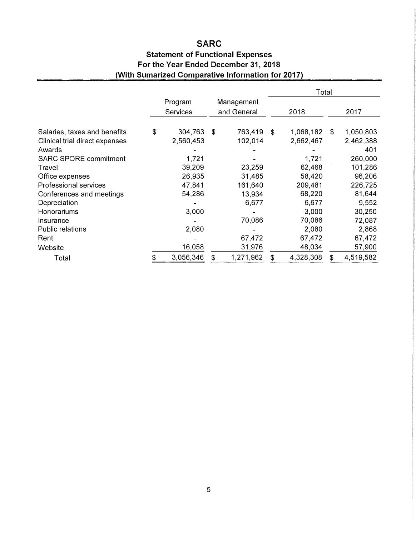## **SARC**

## **Statement of Functional Expenses For the Year Ended December 31, 2018 (With Sumarized Comparative Information for 2017)**

|                                                                |                            |                           | Total |                        |    |                           |
|----------------------------------------------------------------|----------------------------|---------------------------|-------|------------------------|----|---------------------------|
|                                                                | Program<br><b>Services</b> | Management<br>and General | 2018  |                        |    | 2017                      |
| Salaries, taxes and benefits<br>Clinical trial direct expenses | \$<br>304,763<br>2,560,453 | \$<br>763,419<br>102,014  | \$    | 1,068,182<br>2,662,467 | \$ | 1,050,803<br>2,462,388    |
| Awards<br><b>SARC SPORE commitment</b><br>Travel               | 1,721<br>39,209            | 23,259                    |       | 1,721<br>62,468        |    | 401<br>260,000<br>101,286 |
| Office expenses<br><b>Professional services</b>                | 26,935<br>47,841           | 31,485<br>161,640         |       | 58,420<br>209,481      |    | 96,206<br>226,725         |
| Conferences and meetings<br>Depreciation                       | 54,286                     | 13,934<br>6,677           |       | 68,220<br>6,677        |    | 81,644<br>9,552           |
| Honorariums<br>Insurance                                       | 3,000                      | 70,086                    |       | 3,000<br>70,086        |    | 30,250<br>72,087          |
| <b>Public relations</b><br>Rent                                | 2,080                      | 67,472                    |       | 2,080<br>67,472        |    | 2,868<br>67,472           |
| Website<br>Total                                               | \$<br>16,058<br>3,056,346  | \$<br>31,976<br>1,271,962 | \$    | 48,034<br>4,328,308    | \$ | 57,900<br>4,519,582       |